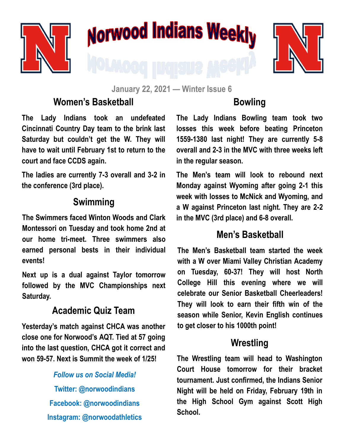

# **Norwood Indians Weekly**



**January 22, 2021 — Winter Issue 6**

## **Women's Basketball**

**The Lady Indians took an undefeated Cincinnati Country Day team to the brink last Saturday but couldn't get the W. They will have to wait until February 1st to return to the court and face CCDS again.** 

**The ladies are currently 7-3 overall and 3-2 in the conference (3rd place).** 

#### **Swimming**

**The Swimmers faced Winton Woods and Clark Montessori on Tuesday and took home 2nd at our home tri-meet. Three swimmers also earned personal bests in their individual events!**

**Next up is a dual against Taylor tomorrow followed by the MVC Championships next Saturday.**

### **Academic Quiz Team**

**Yesterday's match against CHCA was another close one for Norwood's AQT. Tied at 57 going into the last question, CHCA got it correct and won 59-57. Next is Summit the week of 1/25!**

### *Follow us on Social Media!* **Twitter: @norwoodindians Facebook: @norwoodindians Instagram: @norwoodathletics**

# **Bowling**

**The Lady Indians Bowling team took two losses this week before beating Princeton 1559-1380 last night! They are currently 5-8 overall and 2-3 in the MVC with three weeks left in the regular season.**

**The Men's team will look to rebound next Monday against Wyoming after going 2-1 this week with losses to McNick and Wyoming, and a W against Princeton last night. They are 2-2 in the MVC (3rd place) and 6-8 overall.** 

#### **Men's Basketball**

**The Men's Basketball team started the week with a W over Miami Valley Christian Academy on Tuesday, 60-37! They will host North College Hill this evening where we will celebrate our Senior Basketball Cheerleaders! They will look to earn their fifth win of the season while Senior, Kevin English continues to get closer to his 1000th point!**

#### **Wrestling**

**The Wrestling team will head to Washington Court House tomorrow for their bracket tournament. Just confirmed, the Indians Senior Night will be held on Friday, February 19th in the High School Gym against Scott High School.**